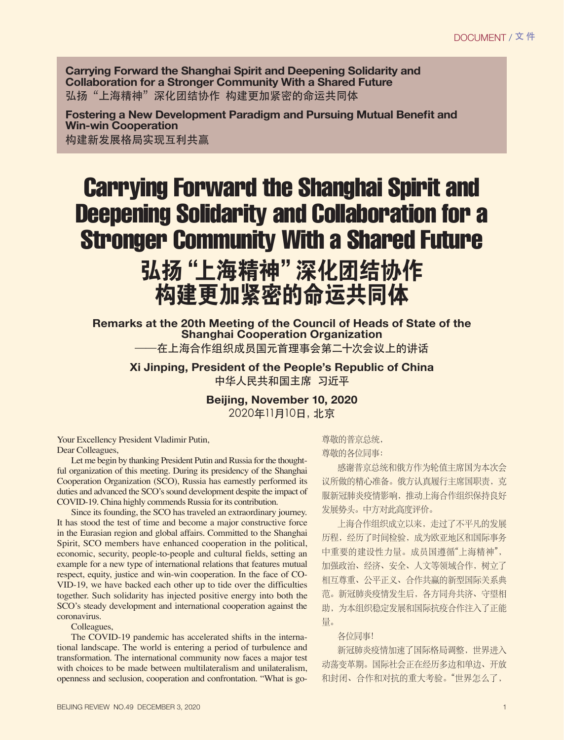**Carrying Forward the Shanghai Spirit and Deepening Solidarity and Collaboration for a Stronger Community With a Shared Future** 弘扬"上海精神"深化团结协作 构建更加紧密的命运共同体

Fostering a New Development Paradigm and Pursuing Mutual Benefit and **Win-win Cooperation** 构建新发展格局实现互利共赢

## Carrying Forward the Shanghai Spirit and Deepening Solidarity and Collaboration for a Stronger Community With a Shared Future

## 弘扬 "上海精神" 深化团结协作 构建更加紧密的命运共同体

**Remarks at the 20th Meeting of the Council of Heads of State of the Shanghai Cooperation Organization** 在上海合作组织成员国元首理事会第二十次会议上的讲话

**Xi Jinping, President of the People's Republic of China** 中华人民共和国主席 习近平

> **Beijing, November 10, 2020** 2020年11月10日, 北京

Your Excellency President Vladimir Putin, Dear Colleagues,

Let me begin by thanking President Putin and Russia for the thoughtful organization of this meeting. During its presidency of the Shanghai Cooperation Organization (SCO), Russia has earnestly performed its duties and advanced the SCO's sound development despite the impact of COVID-19. China highly commends Russia for its contribution.

Since its founding, the SCO has traveled an extraordinary journey. It has stood the test of time and become a major constructive force in the Eurasian region and global affairs. Committed to the Shanghai Spirit, SCO members have enhanced cooperation in the political, economic, security, people-to-people and cultural fields, setting an example for a new type of international relations that features mutual respect, equity, justice and win-win cooperation. In the face of CO-VID-19, we have backed each other up to tide over the difficulties together. Such solidarity has injected positive energy into both the SCO's steady development and international cooperation against the coronavirus.

Colleagues,

The COVID-19 pandemic has accelerated shifts in the international landscape. The world is entering a period of turbulence and transformation. The international community now faces a major test with choices to be made between multilateralism and unilateralism, openness and seclusion, cooperation and confrontation. "What is go-

BEIJING REVIEW NO.49 DECEMBER 3, 2020 1

尊敬的普京总统,

尊敬的各位同事:

感谢普京总统和俄方作为轮值主席国为本次会 议所做的精心准备。俄方认真履行主席国职责,克 服新冠肺炎疫情影响, 推动上海合作组织保持良好 发展势头。中方对此高度评价。

上海合作组织成立以来, 走过了不平凡的发展 历程, 经历了时间检验, 成为欧亚地区和国际事务 中重要的建设性力量。成员国遵循"上海精神", 加强政治、经济、安全、人文等领域合作, 树立了 相互尊重、公平正义、合作共赢的新型国际关系典 范。新冠肺炎疫情发生后, 各方同舟共济、守望相 助,为本组织稳定发展和国际抗疫合作注入了正能 量。

各位同事!

新冠肺炎疫情加速了国际格局调整, 世界进入 动荡变革期。国际社会正在经历多边和单边、开放 和封闭、合作和对抗的重大考验。"世界怎么了,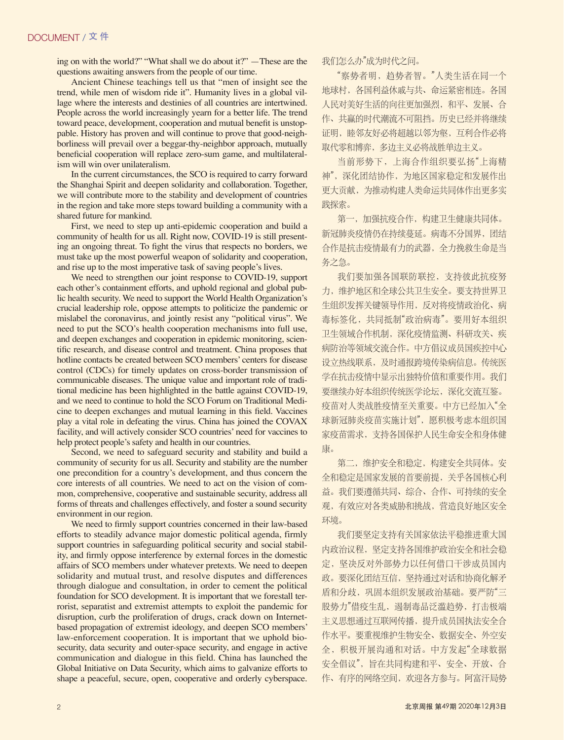ing on with the world?" "What shall we do about it?" —These are the questions awaiting answers from the people of our time.

Ancient Chinese teachings tell us that "men of insight see the trend, while men of wisdom ride it". Humanity lives in a global village where the interests and destinies of all countries are intertwined. People across the world increasingly yearn for a better life. The trend toward peace, development, cooperation and mutual benefit is unstoppable. History has proven and will continue to prove that good-neighborliness will prevail over a beggar-thy-neighbor approach, mutually beneficial cooperation will replace zero-sum game, and multilateralism will win over unilateralism.

In the current circumstances, the SCO is required to carry forward the Shanghai Spirit and deepen solidarity and collaboration. Together, we will contribute more to the stability and development of countries in the region and take more steps toward building a community with a shared future for mankind.

First, we need to step up anti-epidemic cooperation and build a community of health for us all. Right now, COVID-19 is still presenting an ongoing threat. To fight the virus that respects no borders, we must take up the most powerful weapon of solidarity and cooperation, and rise up to the most imperative task of saving people's lives.

We need to strengthen our joint response to COVID-19, support each other's containment efforts, and uphold regional and global public health security. We need to support the World Health Organization's crucial leadership role, oppose attempts to politicize the pandemic or mislabel the coronavirus, and jointly resist any "political virus". We need to put the SCO's health cooperation mechanisms into full use, and deepen exchanges and cooperation in epidemic monitoring, scientific research, and disease control and treatment. China proposes that hotline contacts be created between SCO members' centers for disease control (CDCs) for timely updates on cross-border transmission of communicable diseases. The unique value and important role of traditional medicine has been highlighted in the battle against COVID-19, and we need to continue to hold the SCO Forum on Traditional Medicine to deepen exchanges and mutual learning in this field. Vaccines play a vital role in defeating the virus. China has joined the COVAX facility, and will actively consider SCO countries' need for vaccines to help protect people's safety and health in our countries.

Second, we need to safeguard security and stability and build a community of security for us all. Security and stability are the number one precondition for a country's development, and thus concern the core interests of all countries. We need to act on the vision of common, comprehensive, cooperative and sustainable security, address all forms of threats and challenges effectively, and foster a sound security environment in our region.

We need to firmly support countries concerned in their law-based efforts to steadily advance major domestic political agenda, firmly support countries in safeguarding political security and social stability, and firmly oppose interference by external forces in the domestic affairs of SCO members under whatever pretexts. We need to deepen solidarity and mutual trust, and resolve disputes and differences through dialogue and consultation, in order to cement the political foundation for SCO development. It is important that we forestall terrorist, separatist and extremist attempts to exploit the pandemic for disruption, curb the proliferation of drugs, crack down on Internetbased propagation of extremist ideology, and deepen SCO members' law-enforcement cooperation. It is important that we uphold biosecurity, data security and outer-space security, and engage in active communication and dialogue in this field. China has launched the Global Initiative on Data Security, which aims to galvanize efforts to shape a peaceful, secure, open, cooperative and orderly cyberspace. 我们怎么办"成为时代之间。

"察势者明, 趋势者智。"人类生活在同一个 地球村, 各国利益休戚与共、命运紧密相连。各国 入民对美好生活的向往更加强烈,和平、发展、合 作、共赢的时代潮流不可阻挡。历史已经并将继续 证明, 睦邻友好必将超越以邻为壑, 互利合作必将 取代零和博弈,多边主义必将战胜单边主义。

当前形势下,上海合作组织要弘扬"上海精 神",深化团结协作,为地区国家稳定和发展作出 更大贡献,为推动构建人类命运共同体作出更多实 践探索。

第一,加强抗疫合作,构建卫生健康共同体。 新冠肺炎疫情仍在持续蔓延。病毒不分国界, 团结 合作是抗击疫情最有力的武器,全力挽救生命是当 务之急。

我们要加强各国联防联控, 支持彼此抗疫努 力, 维护地区和全球公共卫生安全。要支持世界卫 生组织发挥关键领导作用,反对将疫情政治化、病 毒标签化,共同抵制"政治病毒"。要用好本组织 卫生领域合作机制, 深化疫情监测、科研攻关、疾 病防治等领域交流合作。中方倡议成员国疾控中心 设立热线联系,及时通报跨境传染病信息。传统医 学在抗击疫情中显示出独特价值和重要作用。我们 要继续办好本组织传统医学论坛,深化交流互鉴。 疫苗对人类战胜疫情至关重要。中方已经加入"全 球新冠肺炎疫苗实施计划", 愿积极考虑本组织国 家疫苗需求, 支持各国保护人民生命安全和身体健 康。

第二, 维护安全和稳定, 构建安全共同体。安 全和稳定是国家发展的首要前提,关乎各国核心利 益。我们要遵循共同、综合、合作、可持续的安全 观, 有效应对各类威胁和挑战, 营造良好地区安全 环境。

我们要坚定支持有关国家依法平稳推讲重大国 内政治议程, 坚定支持各国维护政治安全和社会稳 定,坚决反对外部势力以任何借口干涉成员国内 政。要深化团结互信,坚持通过对话和协商化解矛 盾和分歧, 巩固本组织发展政治基础。要严防"三 股势力"借疫生乱, 遏制毒品泛滥趋势, 打击极端 主义思想通过互联网传播, 提升成员国执法安全合 作水平。要重视维护生物安全、数据安全、外空安 全, 积极开展沟通和对话。中方发起"全球数据 安全倡议",旨在共同构建和平、安全、开放、合 作、有序的网络空间, 欢迎各方参与。阿富汗局势